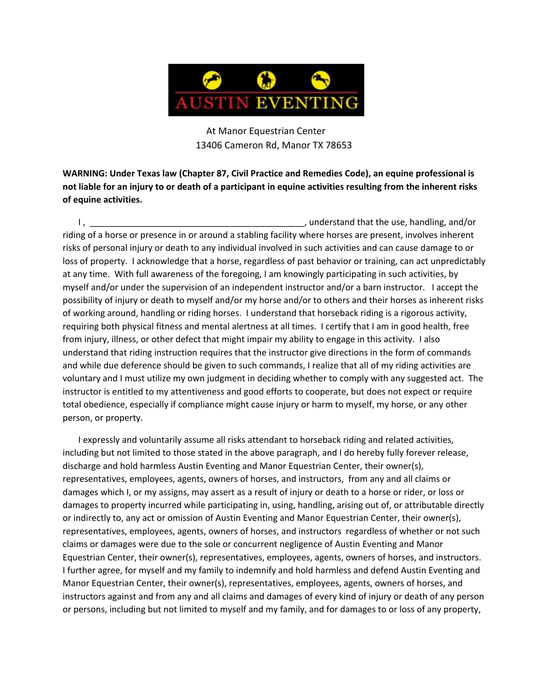

At Manor Equestrian Center 13406 Cameron Rd, Manor TX 78653

**WARNING: Under Texas law (Chapter 87, Civil Practice and Remedies Code), an equine professional is not liable for an injury to or death of a participant in equine activities resulting from the inherent risks of equine activities.**

I, **the contract of the contract of the contract of the contract of the use**, handling, and/or riding of a horse or presence in or around a stabling facility where horses are present, involves inherent risks of personal injury or death to any individual involved in such activities and can cause damage to or loss of property. I acknowledge that a horse, regardless of past behavior or training, can act unpredictably at any time. With full awareness of the foregoing, I am knowingly participating in such activities, by myself and/or under the supervision of an independent instructor and/or a barn instructor. I accept the possibility of injury or death to myself and/or my horse and/or to others and their horses as inherent risks of working around, handling or riding horses. I understand that horseback riding is a rigorous activity, requiring both physical fitness and mental alertness at all times. I certify that I am in good health, free from injury, illness, or other defect that might impair my ability to engage in this activity. I also understand that riding instruction requires that the instructor give directions in the form of commands and while due deference should be given to such commands, I realize that all of my riding activities are voluntary and I must utilize my own judgment in deciding whether to comply with any suggested act. The instructor is entitled to my attentiveness and good efforts to cooperate, but does not expect or require total obedience, especially if compliance might cause injury or harm to myself, my horse, or any other person, or property.

I expressly and voluntarily assume all risks attendant to horseback riding and related activities, including but not limited to those stated in the above paragraph, and I do hereby fully forever release, discharge and hold harmless Austin Eventing and Manor Equestrian Center, their owner(s), representatives, employees, agents, owners of horses, and instructors, from any and all claims or damages which I, or my assigns, may assert as a result of injury or death to a horse or rider, or loss or damages to property incurred while participating in, using, handling, arising out of, or attributable directly or indirectly to, any act or omission of Austin Eventing and Manor Equestrian Center, their owner(s), representatives, employees, agents, owners of horses, and instructors regardless of whether or not such claims or damages were due to the sole or concurrent negligence of Austin Eventing and Manor Equestrian Center, their owner(s), representatives, employees, agents, owners of horses, and instructors. I further agree, for myself and my family to indemnify and hold harmless and defend Austin Eventing and Manor Equestrian Center, their owner(s), representatives, employees, agents, owners of horses, and instructors against and from any and all claims and damages of every kind of injury or death of any person or persons, including but not limited to myself and my family, and for damages to or loss of any property,